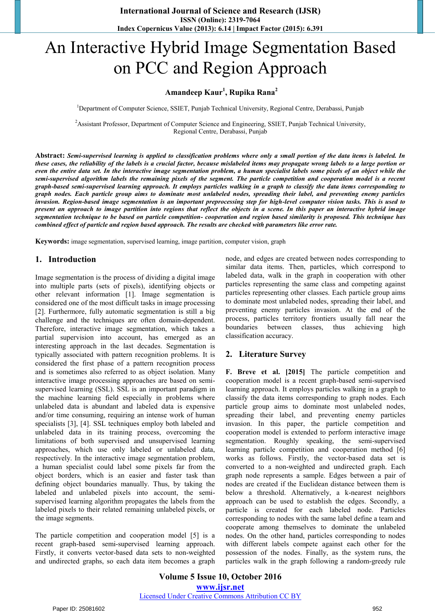# An Interactive Hybrid Image Segmentation Based on PCC and Region Approach

## **Amandeep Kaur<sup>1</sup> , Rupika Rana2**

<sup>1</sup>Department of Computer Science, SSIET, Punjab Technical University, Regional Centre, Derabassi, Punjab

<sup>2</sup> Assistant Professor, Department of Computer Science and Engineering, SSIET, Punjab Technical University, Regional Centre, Derabassi, Punjab

**Abstract:** *Semi-supervised learning is applied to classification problems where only a small portion of the data items is labeled. In these cases, the reliability of the labels is a crucial factor, because mislabeled items may propagate wrong labels to a large portion or even the entire data set. In the interactive image segmentation problem, a human specialist labels some pixels of an object while the semi-supervised algorithm labels the remaining pixels of the segment. The particle competition and cooperation model is a recent graph-based semi-supervised learning approach. It employs particles walking in a graph to classify the data items corresponding to graph nodes. Each particle group aims to dominate most unlabeled nodes, spreading their label, and preventing enemy particles invasion. Region-based image segmentation is an important preprocessing step for high-level computer vision tasks. This is used to present an approach to image partition into regions that reflect the objects in a scene. In this paper an interactive hybrid image segmentation technique to be based on particle competition- cooperation and region based similarity is proposed. This technique has combined effect of particle and region based approach. The results are checked with parameters like error rate.*

**Keywords:** image segmentation, supervised learning, image partition, computer vision, graph

### **1. Introduction**

Image segmentation is the process of dividing a digital image into multiple parts (sets of pixels), identifying objects or other relevant information [1]. Image segmentation is considered one of the most difficult tasks in image processing [2]. Furthermore, fully automatic segmentation is still a big challenge and the techniques are often domain-dependent. Therefore, interactive image segmentation, which takes a partial supervision into account, has emerged as an interesting approach in the last decades. Segmentation is typically associated with pattern recognition problems. It is considered the first phase of a pattern recognition process and is sometimes also referred to as object isolation. Many interactive image processing approaches are based on semisupervised learning (SSL). SSL is an important paradigm in the machine learning field especially in problems where unlabeled data is abundant and labeled data is expensive and/or time consuming, requiring an intense work of human specialists [3], [4]. SSL techniques employ both labeled and unlabeled data in its training process, overcoming the limitations of both supervised and unsupervised learning approaches, which use only labeled or unlabeled data, respectively. In the interactive image segmentation problem, a human specialist could label some pixels far from the object borders, which is an easier and faster task than defining object boundaries manually. Thus, by taking the labeled and unlabeled pixels into account, the semisupervised learning algorithm propagates the labels from the labeled pixels to their related remaining unlabeled pixels, or the image segments.

The particle competition and cooperation model [5] is a recent graph-based semi-supervised learning approach. Firstly, it converts vector-based data sets to non-weighted and undirected graphs, so each data item becomes a graph node, and edges are created between nodes corresponding to similar data items. Then, particles, which correspond to labeled data, walk in the graph in cooperation with other particles representing the same class and competing against particles representing other classes. Each particle group aims to dominate most unlabeled nodes, spreading their label, and preventing enemy particles invasion. At the end of the process, particles territory frontiers usually fall near the boundaries between classes, thus achieving high classification accuracy.

### **2. Literature Survey**

**F. Breve et al. [2015]** The particle competition and cooperation model is a recent graph-based semi-supervised learning approach. It employs particles walking in a graph to classify the data items corresponding to graph nodes. Each particle group aims to dominate most unlabeled nodes, spreading their label, and preventing enemy particles invasion. In this paper, the particle competition and cooperation model is extended to perform interactive image segmentation. Roughly speaking, the semi-supervised learning particle competition and cooperation method [6] works as follows. Firstly, the vector-based data set is converted to a non-weighted and undirected graph. Each graph node represents a sample. Edges between a pair of nodes are created if the Euclidean distance between them is below a threshold. Alternatively, a k-nearest neighbors approach can be used to establish the edges. Secondly, a particle is created for each labeled node. Particles corresponding to nodes with the same label define a team and cooperate among themselves to dominate the unlabeled nodes. On the other hand, particles corresponding to nodes with different labels compete against each other for the possession of the nodes. Finally, as the system runs, the particles walk in the graph following a random-greedy rule

**Volume 5 Issue 10, October 2016 www.ijsr.net** Licensed Under Creative Commons Attribution CC BY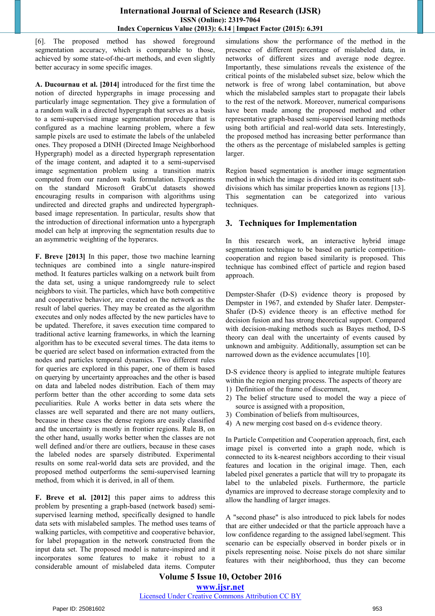[6]. The proposed method has showed foreground segmentation accuracy, which is comparable to those, achieved by some state-of-the-art methods, and even slightly better accuracy in some specific images.

**A. Ducournau et al. [2014]** introduced for the first time the notion of directed hypergraphs in image processing and particularly image segmentation. They give a formulation of a random walk in a directed hypergraph that serves as a basis to a semi-supervised image segmentation procedure that is configured as a machine learning problem, where a few sample pixels are used to estimate the labels of the unlabeled ones. They proposed a DINH (Directed Image Neighborhood Hypergraph) model as a directed hypergraph representation of the image content, and adapted it to a semi-supervised image segmentation problem using a transition matrix computed from our random walk formulation. Experiments on the standard Microsoft GrabCut datasets showed encouraging results in comparison with algorithms using undirected and directed graphs and undirected hypergraphbased image representation. In particular, results show that the introduction of directional information unto a hypergraph model can help at improving the segmentation results due to an asymmetric weighting of the hyperarcs.

**F. Breve [2013]** In this paper, those two machine learning techniques are combined into a single nature-inspired method. It features particles walking on a network built from the data set, using a unique randomgreedy rule to select neighbors to visit. The particles, which have both competitive and cooperative behavior, are created on the network as the result of label queries. They may be created as the algorithm executes and only nodes affected by the new particles have to be updated. Therefore, it saves execution time compared to traditional active learning frameworks, in which the learning algorithm has to be executed several times. The data items to be queried are select based on information extracted from the nodes and particles temporal dynamics. Two different rules for queries are explored in this paper, one of them is based on querying by uncertainty approaches and the other is based on data and labeled nodes distribution. Each of them may perform better than the other according to some data sets peculiarities. Rule A works better in data sets where the classes are well separated and there are not many outliers, because in these cases the dense regions are easily classified and the uncertainty is mostly in frontier regions. Rule B, on the other hand, usually works better when the classes are not well defined and/or there are outliers, because in these cases the labeled nodes are sparsely distributed. Experimental results on some real-world data sets are provided, and the proposed method outperforms the semi-supervised learning method, from which it is derived, in all of them.

**F. Breve et al. [2012]** this paper aims to address this problem by presenting a graph-based (network based) semisupervised learning method, specifically designed to handle data sets with mislabeled samples. The method uses teams of walking particles, with competitive and cooperative behavior, for label propagation in the network constructed from the input data set. The proposed model is nature-inspired and it incorporates some features to make it robust to a considerable amount of mislabeled data items. Computer

simulations show the performance of the method in the presence of different percentage of mislabeled data, in networks of different sizes and average node degree. Importantly, these simulations reveals the existence of the critical points of the mislabeled subset size, below which the network is free of wrong label contamination, but above which the mislabeled samples start to propagate their labels to the rest of the network. Moreover, numerical comparisons have been made among the proposed method and other representative graph-based semi-supervised learning methods using both artificial and real-world data sets. Interestingly, the proposed method has increasing better performance than the others as the percentage of mislabeled samples is getting larger.

Region based segmentation is another image segmentation method in which the image is divided into its constituent subdivisions which has similar properties known as regions [13]. This segmentation can be categorized into various techniques.

# **3. Techniques for Implementation**

In this research work, an interactive hybrid image segmentation technique to be based on particle competitioncooperation and region based similarity is proposed. This technique has combined effect of particle and region based approach.

Dempster-Shafer (D-S) evidence theory is proposed by Dempster in 1967, and extended by Shafer later. Dempster-Shafer (D-S) evidence theory is an effective method for decision fusion and has strong theoretical support. Compared with decision-making methods such as Bayes method, D-S theory can deal with the uncertainty of events caused by unknown and ambiguity. Additionally, assumption set can be narrowed down as the evidence accumulates [10].

D-S evidence theory is applied to integrate multiple features within the region merging process. The aspects of theory are

- 1) Definition of the frame of discernment,
- 2) The belief structure used to model the way a piece of source is assigned with a proposition,
- 3) Combination of beliefs from multisources,
- 4) A new merging cost based on d-s evidence theory.

In Particle Competition and Cooperation approach, first, each image pixel is converted into a graph node, which is connected to its k-nearest neighbors according to their visual features and location in the original image. Then, each labeled pixel generates a particle that will try to propagate its label to the unlabeled pixels. Furthermore, the particle dynamics are improved to decrease storage complexity and to allow the handling of larger images.

A "second phase" is also introduced to pick labels for nodes that are either undecided or that the particle approach have a low confidence regarding to the assigned label/segment. This scenario can be especially observed in border pixels or in pixels representing noise. Noise pixels do not share similar features with their neighborhood, thus they can become

## **Volume 5 Issue 10, October 2016**

**www.ijsr.net**

Licensed Under Creative Commons Attribution CC BY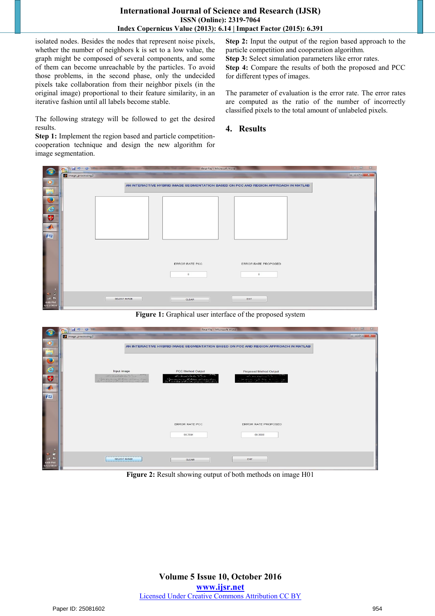isolated nodes. Besides the nodes that represent noise pixels, whether the number of neighbors k is set to a low value, the graph might be composed of several components, and some of them can become unreachable by the particles. To avoid those problems, in the second phase, only the undecided pixels take collaboration from their neighbor pixels (in the original image) proportional to their feature similarity, in an iterative fashion until all labels become stable.

The following strategy will be followed to get the desired results.

**Step 1:** Implement the region based and particle competitioncooperation technique and design the new algorithm for image segmentation.

**Step 2:** Input the output of the region based approach to the particle competition and cooperation algorithm.

**Step 3:** Select simulation parameters like error rates.

**Step 4:** Compare the results of both the proposed and PCC for different types of images.

The parameter of evaluation is the error rate. The error rates are computed as the ratio of the number of incorrectly classified pixels to the total amount of unlabeled pixels.

## **4. Results**

|                                | $-19 - 0$         | final file - Microsoft Word                                                         | $\Box$ $\Box$ $\Box$ $\Box$ $\Box$ $\Box$                                                                                                                                                                                                                                                                                                           |
|--------------------------------|-------------------|-------------------------------------------------------------------------------------|-----------------------------------------------------------------------------------------------------------------------------------------------------------------------------------------------------------------------------------------------------------------------------------------------------------------------------------------------------|
|                                | image_processing2 |                                                                                     | $\begin{picture}(180,10) \put(0,0){\line(1,0){10}} \put(10,0){\line(1,0){10}} \put(10,0){\line(1,0){10}} \put(10,0){\line(1,0){10}} \put(10,0){\line(1,0){10}} \put(10,0){\line(1,0){10}} \put(10,0){\line(1,0){10}} \put(10,0){\line(1,0){10}} \put(10,0){\line(1,0){10}} \put(10,0){\line(1,0){10}} \put(10,0){\line(1,0){10}} \put(10,0){\line($ |
| $\bullet$                      |                   | AN INTERACTIVE HYBRID IMAGE SEGMENTATION BASED ON PCC AND REGION APPROACH IN MATLAB |                                                                                                                                                                                                                                                                                                                                                     |
| 13.75                          |                   |                                                                                     |                                                                                                                                                                                                                                                                                                                                                     |
| U                              |                   |                                                                                     |                                                                                                                                                                                                                                                                                                                                                     |
| e                              |                   |                                                                                     |                                                                                                                                                                                                                                                                                                                                                     |
| V                              |                   |                                                                                     |                                                                                                                                                                                                                                                                                                                                                     |
|                                |                   |                                                                                     |                                                                                                                                                                                                                                                                                                                                                     |
| 四                              |                   |                                                                                     |                                                                                                                                                                                                                                                                                                                                                     |
|                                |                   |                                                                                     |                                                                                                                                                                                                                                                                                                                                                     |
|                                |                   |                                                                                     |                                                                                                                                                                                                                                                                                                                                                     |
|                                |                   | ERROR RATE PCC<br>ERROR RATE PROPOSED                                               |                                                                                                                                                                                                                                                                                                                                                     |
|                                |                   |                                                                                     |                                                                                                                                                                                                                                                                                                                                                     |
|                                |                   | $\alpha$<br>$\alpha$                                                                |                                                                                                                                                                                                                                                                                                                                                     |
|                                |                   |                                                                                     |                                                                                                                                                                                                                                                                                                                                                     |
| KI A                           |                   |                                                                                     |                                                                                                                                                                                                                                                                                                                                                     |
| and Pr<br>4:48 PM<br>6/13/2016 | SELECT IMAGE      | EXIT<br>CLEAR                                                                       |                                                                                                                                                                                                                                                                                                                                                     |
|                                |                   |                                                                                     |                                                                                                                                                                                                                                                                                                                                                     |

**Figure 1:** Graphical user interface of the proposed system

|                           | $-100$<br>final file - Microsoft Word                                                                                                                                                                                                                                                                                                                                                                                      | $\qquad \qquad \Box$<br>$\Sigma$                                                                                                                                                                                                                                                                                                                    |
|---------------------------|----------------------------------------------------------------------------------------------------------------------------------------------------------------------------------------------------------------------------------------------------------------------------------------------------------------------------------------------------------------------------------------------------------------------------|-----------------------------------------------------------------------------------------------------------------------------------------------------------------------------------------------------------------------------------------------------------------------------------------------------------------------------------------------------|
|                           | image_processing2                                                                                                                                                                                                                                                                                                                                                                                                          | $\begin{picture}(10,10) \put(0,0){\line(1,0){10}} \put(10,0){\line(1,0){10}} \put(10,0){\line(1,0){10}} \put(10,0){\line(1,0){10}} \put(10,0){\line(1,0){10}} \put(10,0){\line(1,0){10}} \put(10,0){\line(1,0){10}} \put(10,0){\line(1,0){10}} \put(10,0){\line(1,0){10}} \put(10,0){\line(1,0){10}} \put(10,0){\line(1,0){10}} \put(10,0){\line(1$ |
| $\bullet$                 | AN INTERACTIVE HYBRID IMAGE SEGMENTATION BASED ON PCC AND REGION APPROACH IN MATLAB                                                                                                                                                                                                                                                                                                                                        |                                                                                                                                                                                                                                                                                                                                                     |
| $\bullet$<br>é<br>Н<br> W | Input image<br><b>PCC Method Output</b><br><b>Proposed Method Output</b><br><b><i>ENENSYMETER</i></b><br>del acomment della the to the to<br>Markenal also the " " " " ( 16<br>the made from the town<br>George considering the Assessment Continued to the<br>. Copper was strong to the William as follows in a Union.<br>We have brooked up allowed by a way in conversible in the real<br>ht transportation of the and |                                                                                                                                                                                                                                                                                                                                                     |
|                           | ERROR RATE PCC<br>ERROR RATE PROPOSED<br>93.7561<br>69.3583                                                                                                                                                                                                                                                                                                                                                                |                                                                                                                                                                                                                                                                                                                                                     |
| 6/13/2016                 | SELECT IMAGE<br>EXIT<br>CLEAR                                                                                                                                                                                                                                                                                                                                                                                              |                                                                                                                                                                                                                                                                                                                                                     |

**Figure 2:** Result showing output of both methods on image H01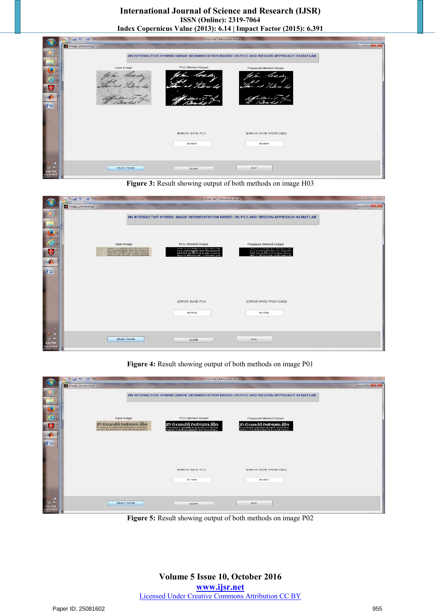#### **International Journal of Science and Research (IJSR) ISSN (Online): 2319-7064**

**Index Copernicus Value (2013): 6.14 | Impact Factor (2015): 6.391** 

| $\mathbf{r}$ , $\mathbf{r}$ , $\mathbf{r}$ , $\mathbf{r}$ |                     | <b>final file - Microsoft Word</b> |                                                                                     | and the same and the same                                                                                                                                                                                                                                                                                                                           |
|-----------------------------------------------------------|---------------------|------------------------------------|-------------------------------------------------------------------------------------|-----------------------------------------------------------------------------------------------------------------------------------------------------------------------------------------------------------------------------------------------------------------------------------------------------------------------------------------------------|
| image_processing2                                         |                     |                                    |                                                                                     | $\begin{picture}(180,10) \put(0,0){\line(1,0){10}} \put(10,0){\line(1,0){10}} \put(10,0){\line(1,0){10}} \put(10,0){\line(1,0){10}} \put(10,0){\line(1,0){10}} \put(10,0){\line(1,0){10}} \put(10,0){\line(1,0){10}} \put(10,0){\line(1,0){10}} \put(10,0){\line(1,0){10}} \put(10,0){\line(1,0){10}} \put(10,0){\line(1,0){10}} \put(10,0){\line($ |
|                                                           |                     |                                    | AN INTERACTIVE HYBRID IMAGE SEGMENTATION BASED ON PCC AND REGION APPROACH IN MATLAB |                                                                                                                                                                                                                                                                                                                                                     |
| ۳                                                         | Input image         | PCC Method Output                  | <b>Proposed Method Output</b>                                                       |                                                                                                                                                                                                                                                                                                                                                     |
| e<br>ĸ                                                    |                     | doad                               | load.                                                                               |                                                                                                                                                                                                                                                                                                                                                     |
|                                                           |                     | 'et <sub>,</sub> frêro les<br>.    | There as Bene list<br>Office of the                                                 |                                                                                                                                                                                                                                                                                                                                                     |
| $\frac{1}{2}$                                             |                     |                                    |                                                                                     |                                                                                                                                                                                                                                                                                                                                                     |
|                                                           |                     |                                    |                                                                                     |                                                                                                                                                                                                                                                                                                                                                     |
|                                                           |                     | ERROR RATE PCC                     | ERROR RATE PROPOSED                                                                 |                                                                                                                                                                                                                                                                                                                                                     |
|                                                           |                     | 96,5674                            | 88.6878                                                                             |                                                                                                                                                                                                                                                                                                                                                     |
|                                                           |                     |                                    |                                                                                     |                                                                                                                                                                                                                                                                                                                                                     |
| 4:49 PM<br>6/13/2016                                      | <b>SELECT IMAGE</b> | CLEAR                              | EXIT                                                                                |                                                                                                                                                                                                                                                                                                                                                     |

**Figure 3:** Result showing output of both methods on image H03

|                                             | d 7 0 =<br>final file - Microsoft Word<br><b>SE</b>                                                                                                                                                                                                                                                                                                                                                                                                                                                                                                                                                                                                       | 23<br>$-107$  |
|---------------------------------------------|-----------------------------------------------------------------------------------------------------------------------------------------------------------------------------------------------------------------------------------------------------------------------------------------------------------------------------------------------------------------------------------------------------------------------------------------------------------------------------------------------------------------------------------------------------------------------------------------------------------------------------------------------------------|---------------|
|                                             | image_processing2                                                                                                                                                                                                                                                                                                                                                                                                                                                                                                                                                                                                                                         | $ cos(0)-25 $ |
| $\bullet$<br>e.                             | AN INTERACTIVE HYBRID IMAGE SEGMENTATION BASED ON PCC AND REGION APPROACH IN MATLAB                                                                                                                                                                                                                                                                                                                                                                                                                                                                                                                                                                       |               |
| U<br>ē                                      | PCC Method Output<br>Proposed Method Output<br>Input image                                                                                                                                                                                                                                                                                                                                                                                                                                                                                                                                                                                                |               |
| 5                                           | modeller in the Catalogue-to-in- Trend Merry and a<br>minima in anticollections are flower places and an incident dependent<br>and an incident despertie from it and generates such first, and like<br>$\alpha$ is a first of the count. The incident stress of the<br>stress of the first stres<br>motions in the diffusion of the space plane, representation of the production of the space of the space of the space of the space of the space of the space of the space of the space of the space of the space of the space<br>holigh smith, some holig at and the stationic, and most the<br>Minister but their bake succes, on finish Chine as he- |               |
| 四                                           |                                                                                                                                                                                                                                                                                                                                                                                                                                                                                                                                                                                                                                                           |               |
|                                             | <b>ERROR RATE PCC</b><br>ERROR RATE PROPOSED<br>96.5674<br>92.3784                                                                                                                                                                                                                                                                                                                                                                                                                                                                                                                                                                                        |               |
| u.<br>o (C)<br>$-1$<br>4:50 PM<br>6/13/2016 | <b>SELECT MAGE</b><br>EXIT<br><b>CLEAR</b>                                                                                                                                                                                                                                                                                                                                                                                                                                                                                                                                                                                                                |               |

#### **Figure 4:** Result showing output of both methods on image P01

|                            | $-0.9 - 0.7 - 0.0$<br>final file - Microsoft Word                                   | $\sum$<br>$= 1$                                                                                                                                                                                                                                                                                                                                     |
|----------------------------|-------------------------------------------------------------------------------------|-----------------------------------------------------------------------------------------------------------------------------------------------------------------------------------------------------------------------------------------------------------------------------------------------------------------------------------------------------|
|                            | image_processing2                                                                   | $\begin{picture}(10,10) \put(0,0){\line(1,0){10}} \put(10,0){\line(1,0){10}} \put(10,0){\line(1,0){10}} \put(10,0){\line(1,0){10}} \put(10,0){\line(1,0){10}} \put(10,0){\line(1,0){10}} \put(10,0){\line(1,0){10}} \put(10,0){\line(1,0){10}} \put(10,0){\line(1,0){10}} \put(10,0){\line(1,0){10}} \put(10,0){\line(1,0){10}} \put(10,0){\line(1$ |
| $\bullet$                  | AN INTERACTIVE HYBRID IMAGE SEGMENTATION BASED ON PCC AND REGION APPROACH IN MATLAB |                                                                                                                                                                                                                                                                                                                                                     |
| $\sim 100$<br><b>Telex</b> |                                                                                     |                                                                                                                                                                                                                                                                                                                                                     |
| ۳                          |                                                                                     |                                                                                                                                                                                                                                                                                                                                                     |
| e                          | <b>PCC Method Output</b><br>Input image<br>Proposed Method Output                   |                                                                                                                                                                                                                                                                                                                                                     |
| ĸ                          | D secundu danhium. Eln<br>JD Secundu Dubium. Sin<br>E fécundu dubium. Sin           |                                                                                                                                                                                                                                                                                                                                                     |
|                            |                                                                                     |                                                                                                                                                                                                                                                                                                                                                     |
| W                          |                                                                                     |                                                                                                                                                                                                                                                                                                                                                     |
|                            |                                                                                     |                                                                                                                                                                                                                                                                                                                                                     |
|                            |                                                                                     |                                                                                                                                                                                                                                                                                                                                                     |
|                            | <b>ERROR RATE PCC</b><br>ERROR RATE PROPOSED                                        |                                                                                                                                                                                                                                                                                                                                                     |
|                            | 97.1669<br>96.4812                                                                  |                                                                                                                                                                                                                                                                                                                                                     |
|                            |                                                                                     |                                                                                                                                                                                                                                                                                                                                                     |
|                            |                                                                                     |                                                                                                                                                                                                                                                                                                                                                     |
| √ 图<br>and the             | <b>SELECT IMAGE</b><br>EXIT<br><b>CLEAR</b>                                         |                                                                                                                                                                                                                                                                                                                                                     |
| 4:51 PM<br>6/13/2016       |                                                                                     |                                                                                                                                                                                                                                                                                                                                                     |

**Figure 5:** Result showing output of both methods on image P02